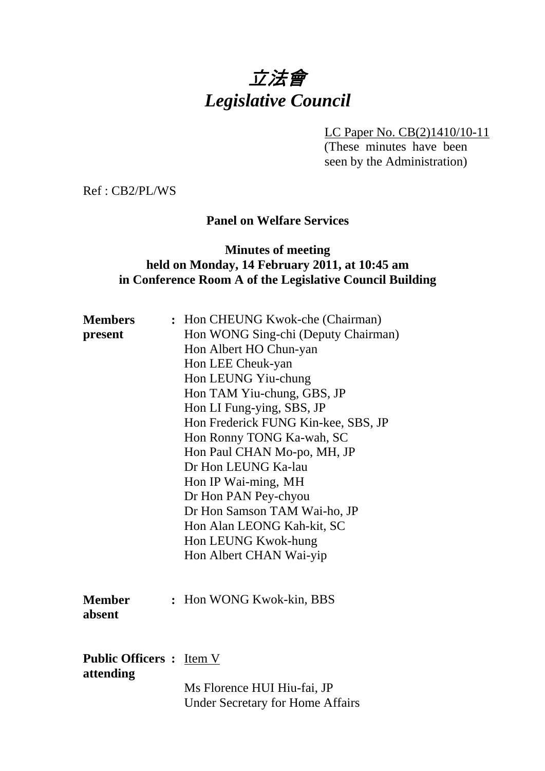# 立法會 *Legislative Council*

LC Paper No. CB(2)1410/10-11

(These minutes have been seen by the Administration)

Ref : CB2/PL/WS

# **Panel on Welfare Services**

#### **Minutes of meeting held on Monday, 14 February 2011, at 10:45 am in Conference Room A of the Legislative Council Building**

| <b>Members</b><br>present                    | : Hon CHEUNG Kwok-che (Chairman)<br>Hon WONG Sing-chi (Deputy Chairman)<br>Hon Albert HO Chun-yan<br>Hon LEE Cheuk-yan<br>Hon LEUNG Yiu-chung<br>Hon TAM Yiu-chung, GBS, JP<br>Hon LI Fung-ying, SBS, JP<br>Hon Frederick FUNG Kin-kee, SBS, JP<br>Hon Ronny TONG Ka-wah, SC<br>Hon Paul CHAN Mo-po, MH, JP<br>Dr Hon LEUNG Ka-lau<br>Hon IP Wai-ming, MH<br>Dr Hon PAN Pey-chyou<br>Dr Hon Samson TAM Wai-ho, JP<br>Hon Alan LEONG Kah-kit, SC<br>Hon LEUNG Kwok-hung<br>Hon Albert CHAN Wai-yip |
|----------------------------------------------|---------------------------------------------------------------------------------------------------------------------------------------------------------------------------------------------------------------------------------------------------------------------------------------------------------------------------------------------------------------------------------------------------------------------------------------------------------------------------------------------------|
| <b>Member</b><br>absent                      | : Hon WONG Kwok-kin, BBS                                                                                                                                                                                                                                                                                                                                                                                                                                                                          |
| <b>Public Officers : Item V</b><br>attending | Ms Florence HUI Hiu-fai, JP<br><b>Under Secretary for Home Affairs</b>                                                                                                                                                                                                                                                                                                                                                                                                                            |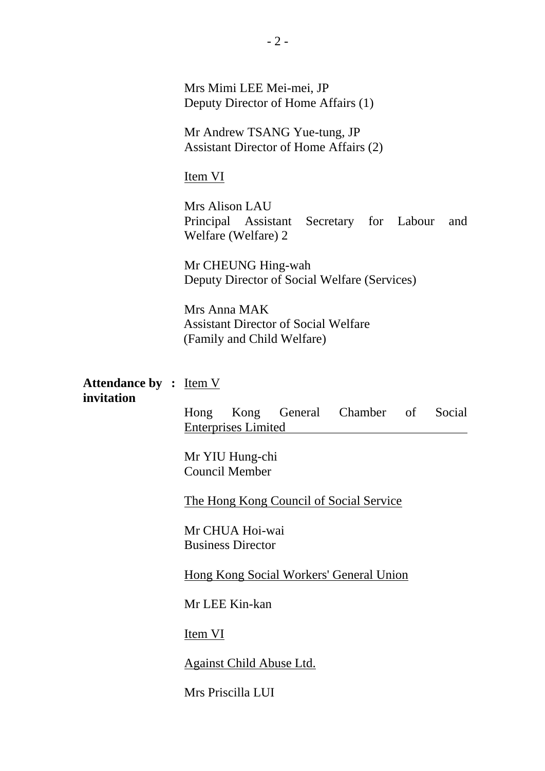Mrs Mimi LEE Mei-mei, JP Deputy Director of Home Affairs (1)

Mr Andrew TSANG Yue-tung, JP Assistant Director of Home Affairs (2)

#### Item VI

Mrs Alison LAU Principal Assistant Secretary for Labour and Welfare (Welfare) 2

Mr CHEUNG Hing-wah Deputy Director of Social Welfare (Services)

Mrs Anna MAK Assistant Director of Social Welfare (Family and Child Welfare)

#### **Attendance by :** Item V **invitation**

Hong Kong General Chamber of Social Enterprises Limited

Mr YIU Hung-chi Council Member

The Hong Kong Council of Social Service

Mr CHUA Hoi-wai Business Director

Hong Kong Social Workers' General Union

Mr LEE Kin-kan

**Item VI** 

Against Child Abuse Ltd.

Mrs Priscilla LUI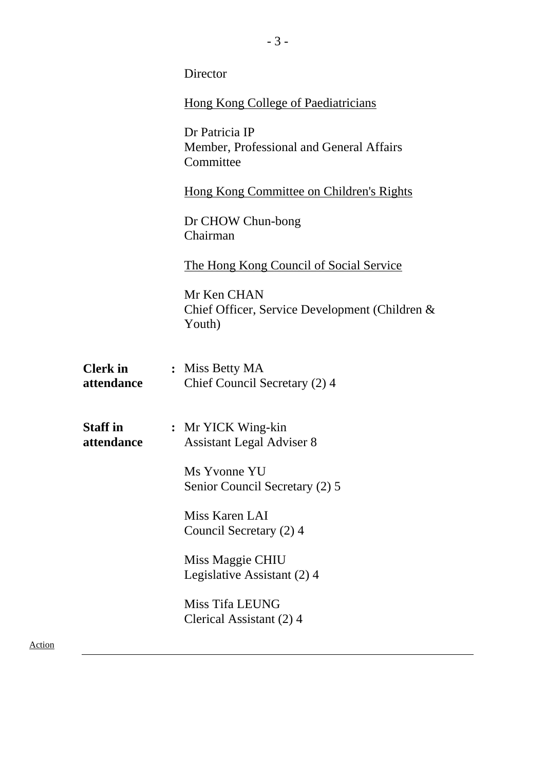|        |                               | Director                                                                |
|--------|-------------------------------|-------------------------------------------------------------------------|
|        |                               | <b>Hong Kong College of Paediatricians</b>                              |
|        |                               | Dr Patricia IP<br>Member, Professional and General Affairs<br>Committee |
|        |                               | <b>Hong Kong Committee on Children's Rights</b>                         |
|        |                               | Dr CHOW Chun-bong<br>Chairman                                           |
|        |                               | <u>The Hong Kong Council of Social Service</u>                          |
|        |                               | Mr Ken CHAN<br>Chief Officer, Service Development (Children &<br>Youth) |
|        | <b>Clerk</b> in<br>attendance | : Miss Betty MA<br>Chief Council Secretary (2) 4                        |
|        | <b>Staff in</b><br>attendance | : Mr YICK Wing-kin<br><b>Assistant Legal Adviser 8</b>                  |
|        |                               | Ms Yvonne YU<br>Senior Council Secretary (2) 5                          |
|        |                               | Miss Karen LAI<br>Council Secretary (2) 4                               |
|        |                               | Miss Maggie CHIU<br>Legislative Assistant (2) 4                         |
|        |                               | Miss Tifa LEUNG<br>Clerical Assistant (2) 4                             |
| Action |                               |                                                                         |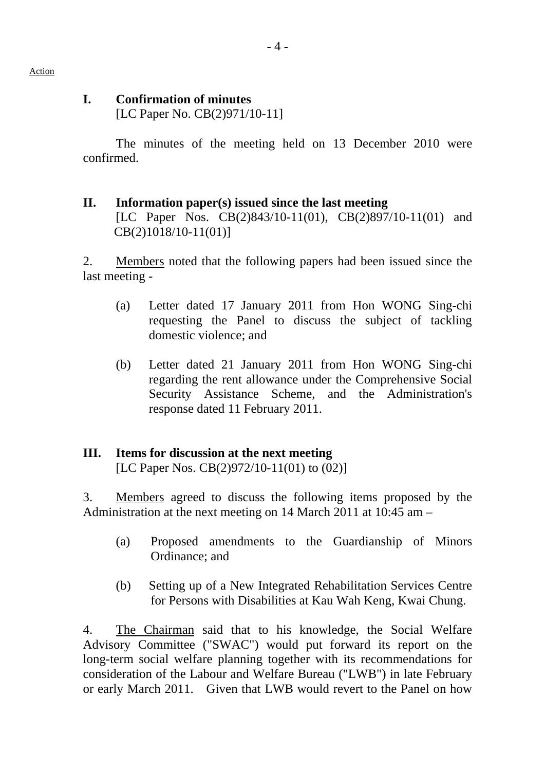# **I. Confirmation of minutes**

[LC Paper No. CB(2)971/10-11]

The minutes of the meeting held on 13 December 2010 were confirmed.

#### **II. Information paper(s) issued since the last meeting**  [LC Paper Nos. CB(2)843/10-11(01), CB(2)897/10-11(01) and CB(2)1018/10-11(01)]

2. Members noted that the following papers had been issued since the last meeting -

- (a) Letter dated 17 January 2011 from Hon WONG Sing-chi requesting the Panel to discuss the subject of tackling domestic violence; and
- (b) Letter dated 21 January 2011 from Hon WONG Sing-chi regarding the rent allowance under the Comprehensive Social Security Assistance Scheme, and the Administration's response dated 11 February 2011.

#### **III. Items for discussion at the next meeting**  [LC Paper Nos. CB(2)972/10-11(01) to (02)]

3. Members agreed to discuss the following items proposed by the Administration at the next meeting on 14 March 2011 at 10:45 am –

- (a) Proposed amendments to the Guardianship of Minors Ordinance; and
- (b) Setting up of a New Integrated Rehabilitation Services Centre for Persons with Disabilities at Kau Wah Keng, Kwai Chung.

4. The Chairman said that to his knowledge, the Social Welfare Advisory Committee ("SWAC") would put forward its report on the long-term social welfare planning together with its recommendations for consideration of the Labour and Welfare Bureau ("LWB") in late February or early March 2011. Given that LWB would revert to the Panel on how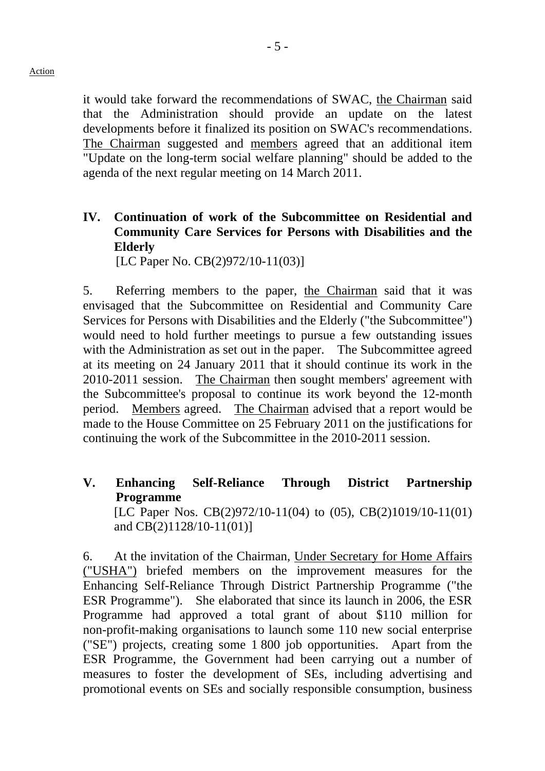it would take forward the recommendations of SWAC, the Chairman said that the Administration should provide an update on the latest developments before it finalized its position on SWAC's recommendations. The Chairman suggested and members agreed that an additional item "Update on the long-term social welfare planning" should be added to the agenda of the next regular meeting on 14 March 2011.

# **IV. Continuation of work of the Subcommittee on Residential and Community Care Services for Persons with Disabilities and the Elderly**

[LC Paper No. CB(2)972/10-11(03)]

5. Referring members to the paper, the Chairman said that it was envisaged that the Subcommittee on Residential and Community Care Services for Persons with Disabilities and the Elderly ("the Subcommittee") would need to hold further meetings to pursue a few outstanding issues with the Administration as set out in the paper. The Subcommittee agreed at its meeting on 24 January 2011 that it should continue its work in the 2010-2011 session. The Chairman then sought members' agreement with the Subcommittee's proposal to continue its work beyond the 12-month period. Members agreed. The Chairman advised that a report would be made to the House Committee on 25 February 2011 on the justifications for continuing the work of the Subcommittee in the 2010-2011 session.

**V. Enhancing Self-Reliance Through District Partnership Programme** 

[LC Paper Nos. CB(2)972/10-11(04) to (05), CB(2)1019/10-11(01) and CB(2)1128/10-11(01)]

6. At the invitation of the Chairman, Under Secretary for Home Affairs ("USHA") briefed members on the improvement measures for the Enhancing Self-Reliance Through District Partnership Programme ("the ESR Programme"). She elaborated that since its launch in 2006, the ESR Programme had approved a total grant of about \$110 million for non-profit-making organisations to launch some 110 new social enterprise ("SE") projects, creating some 1,800 job opportunities. Apart from the ESR Programme, the Government had been carrying out a number of measures to foster the development of SEs, including advertising and promotional events on SEs and socially responsible consumption, business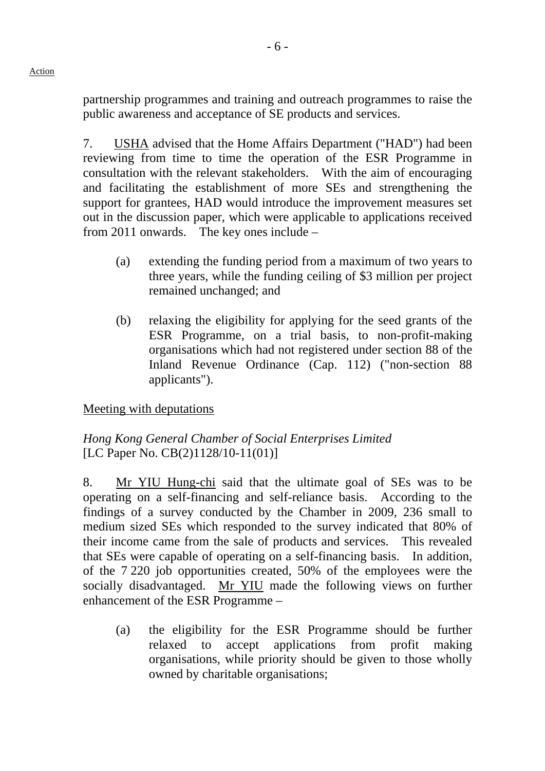Action

partnership programmes and training and outreach programmes to raise the public awareness and acceptance of SE products and services.

7. USHA advised that the Home Affairs Department ("HAD") had been reviewing from time to time the operation of the ESR Programme in consultation with the relevant stakeholders. With the aim of encouraging and facilitating the establishment of more SEs and strengthening the support for grantees, HAD would introduce the improvement measures set out in the discussion paper, which were applicable to applications received from 2011 onwards. The key ones include –

- (a) extending the funding period from a maximum of two years to three years, while the funding ceiling of \$3 million per project remained unchanged; and
- (b) relaxing the eligibility for applying for the seed grants of the ESR Programme, on a trial basis, to non-profit-making organisations which had not registered under section 88 of the Inland Revenue Ordinance (Cap. 112) ("non-section 88 applicants").

Meeting with deputations

*Hong Kong General Chamber of Social Enterprises Limited*  [LC Paper No. CB(2)1128/10-11(01)]

8. Mr YIU Hung-chi said that the ultimate goal of SEs was to be operating on a self-financing and self-reliance basis. According to the findings of a survey conducted by the Chamber in 2009, 236 small to medium sized SEs which responded to the survey indicated that 80% of their income came from the sale of products and services. This revealed that SEs were capable of operating on a self-financing basis. In addition, of the 7,220 job opportunities created, 50% of the employees were the socially disadvantaged. Mr YIU made the following views on further enhancement of the ESR Programme –

(a) the eligibility for the ESR Programme should be further relaxed to accept applications from profit making organisations, while priority should be given to those wholly owned by charitable organisations;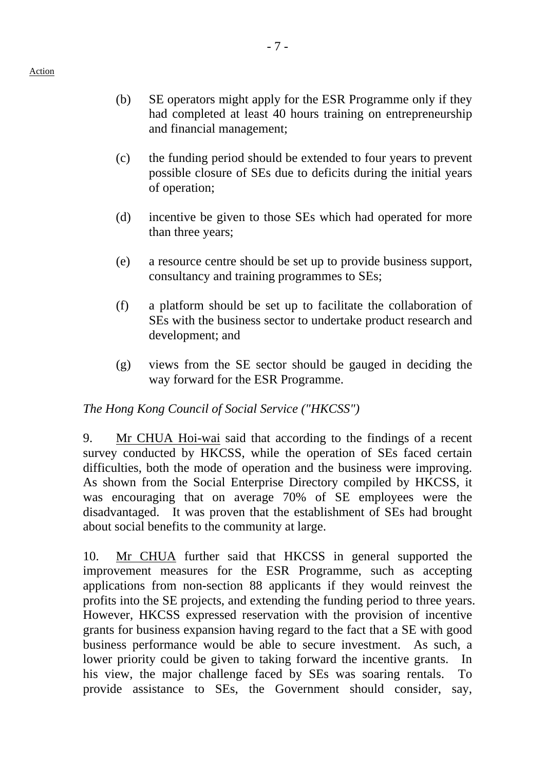- (b) SE operators might apply for the ESR Programme only if they had completed at least 40 hours training on entrepreneurship and financial management;
- (c) the funding period should be extended to four years to prevent possible closure of SEs due to deficits during the initial years of operation;
- (d) incentive be given to those SEs which had operated for more than three years;
- (e) a resource centre should be set up to provide business support, consultancy and training programmes to SEs;
- (f) a platform should be set up to facilitate the collaboration of SEs with the business sector to undertake product research and development; and
- (g) views from the SE sector should be gauged in deciding the way forward for the ESR Programme.

# *The Hong Kong Council of Social Service ("HKCSS")*

9. Mr CHUA Hoi-wai said that according to the findings of a recent survey conducted by HKCSS, while the operation of SEs faced certain difficulties, both the mode of operation and the business were improving. As shown from the Social Enterprise Directory compiled by HKCSS, it was encouraging that on average 70% of SE employees were the disadvantaged. It was proven that the establishment of SEs had brought about social benefits to the community at large.

10. Mr CHUA further said that HKCSS in general supported the improvement measures for the ESR Programme, such as accepting applications from non-section 88 applicants if they would reinvest the profits into the SE projects, and extending the funding period to three years. However, HKCSS expressed reservation with the provision of incentive grants for business expansion having regard to the fact that a SE with good business performance would be able to secure investment. As such, a lower priority could be given to taking forward the incentive grants. In his view, the major challenge faced by SEs was soaring rentals. To provide assistance to SEs, the Government should consider, say,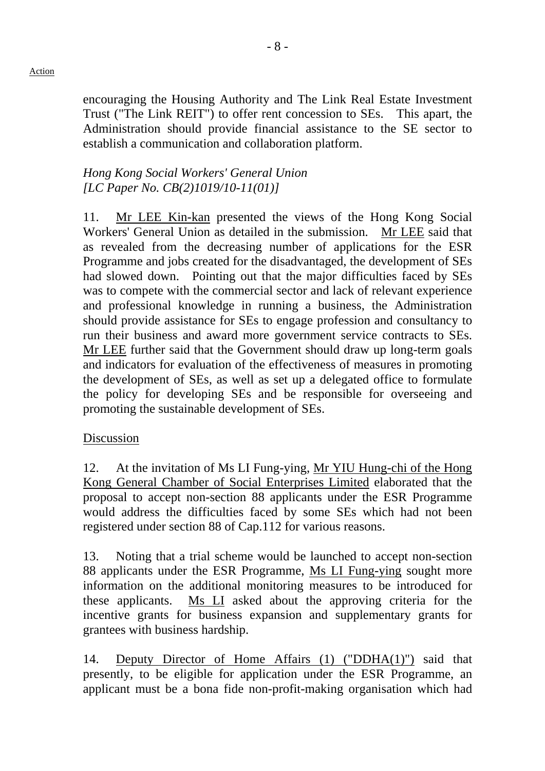#### Action

encouraging the Housing Authority and The Link Real Estate Investment Trust ("The Link REIT") to offer rent concession to SEs. This apart, the Administration should provide financial assistance to the SE sector to establish a communication and collaboration platform.

# *Hong Kong Social Workers' General Union [LC Paper No. CB(2)1019/10-11(01)]*

11. Mr LEE Kin-kan presented the views of the Hong Kong Social Workers' General Union as detailed in the submission. Mr LEE said that as revealed from the decreasing number of applications for the ESR Programme and jobs created for the disadvantaged, the development of SEs had slowed down. Pointing out that the major difficulties faced by SEs was to compete with the commercial sector and lack of relevant experience and professional knowledge in running a business, the Administration should provide assistance for SEs to engage profession and consultancy to run their business and award more government service contracts to SEs. Mr LEE further said that the Government should draw up long-term goals and indicators for evaluation of the effectiveness of measures in promoting the development of SEs, as well as set up a delegated office to formulate the policy for developing SEs and be responsible for overseeing and promoting the sustainable development of SEs.

#### Discussion

12. At the invitation of Ms LI Fung-ying, Mr YIU Hung-chi of the Hong Kong General Chamber of Social Enterprises Limited elaborated that the proposal to accept non-section 88 applicants under the ESR Programme would address the difficulties faced by some SEs which had not been registered under section 88 of Cap.112 for various reasons.

13. Noting that a trial scheme would be launched to accept non-section 88 applicants under the ESR Programme, Ms LI Fung-ying sought more information on the additional monitoring measures to be introduced for these applicants. Ms LI asked about the approving criteria for the incentive grants for business expansion and supplementary grants for grantees with business hardship.

14. Deputy Director of Home Affairs (1) ("DDHA(1)") said that presently, to be eligible for application under the ESR Programme, an applicant must be a bona fide non-profit-making organisation which had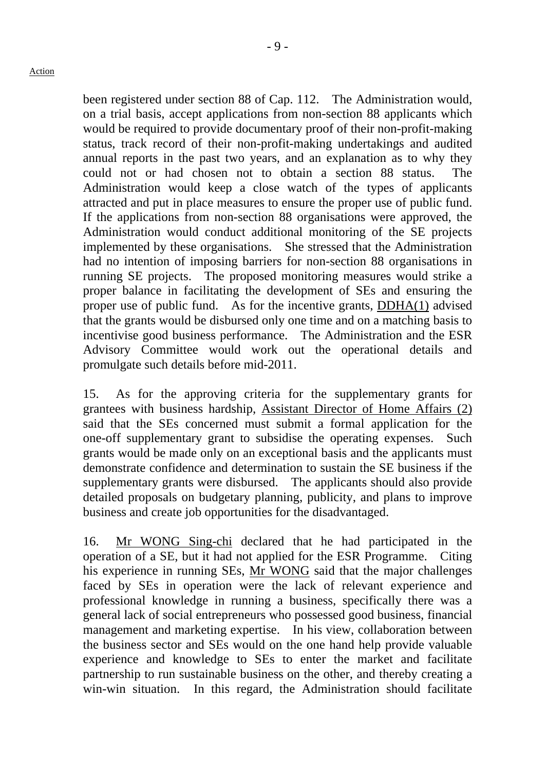been registered under section 88 of Cap. 112. The Administration would, on a trial basis, accept applications from non-section 88 applicants which would be required to provide documentary proof of their non-profit-making status, track record of their non-profit-making undertakings and audited annual reports in the past two years, and an explanation as to why they could not or had chosen not to obtain a section 88 status. The Administration would keep a close watch of the types of applicants attracted and put in place measures to ensure the proper use of public fund. If the applications from non-section 88 organisations were approved, the Administration would conduct additional monitoring of the SE projects implemented by these organisations. She stressed that the Administration had no intention of imposing barriers for non-section 88 organisations in running SE projects. The proposed monitoring measures would strike a proper balance in facilitating the development of SEs and ensuring the proper use of public fund. As for the incentive grants, DDHA(1) advised that the grants would be disbursed only one time and on a matching basis to incentivise good business performance. The Administration and the ESR Advisory Committee would work out the operational details and promulgate such details before mid-2011.

15. As for the approving criteria for the supplementary grants for grantees with business hardship, Assistant Director of Home Affairs (2) said that the SEs concerned must submit a formal application for the one-off supplementary grant to subsidise the operating expenses. Such grants would be made only on an exceptional basis and the applicants must demonstrate confidence and determination to sustain the SE business if the supplementary grants were disbursed. The applicants should also provide detailed proposals on budgetary planning, publicity, and plans to improve business and create job opportunities for the disadvantaged.

16. Mr WONG Sing-chi declared that he had participated in the operation of a SE, but it had not applied for the ESR Programme. Citing his experience in running SEs, Mr WONG said that the major challenges faced by SEs in operation were the lack of relevant experience and professional knowledge in running a business, specifically there was a general lack of social entrepreneurs who possessed good business, financial management and marketing expertise. In his view, collaboration between the business sector and SEs would on the one hand help provide valuable experience and knowledge to SEs to enter the market and facilitate partnership to run sustainable business on the other, and thereby creating a win-win situation. In this regard, the Administration should facilitate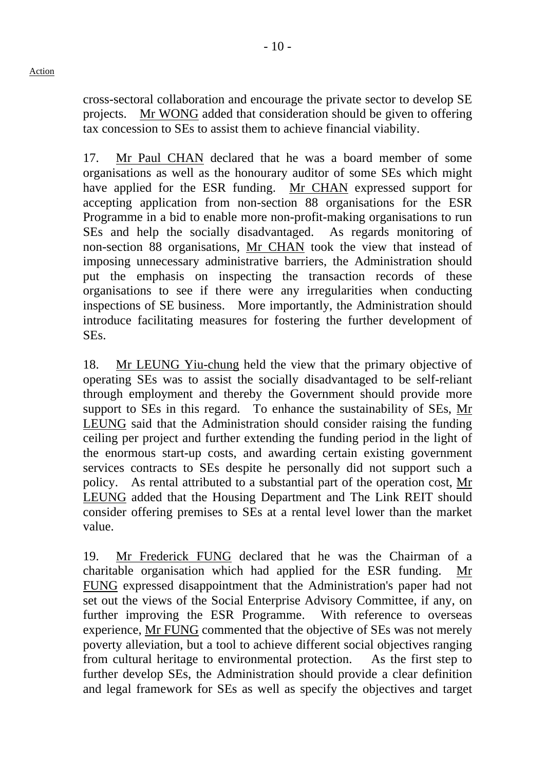cross-sectoral collaboration and encourage the private sector to develop SE projects. Mr WONG added that consideration should be given to offering tax concession to SEs to assist them to achieve financial viability.

17. Mr Paul CHAN declared that he was a board member of some organisations as well as the honourary auditor of some SEs which might have applied for the ESR funding. Mr CHAN expressed support for accepting application from non-section 88 organisations for the ESR Programme in a bid to enable more non-profit-making organisations to run SEs and help the socially disadvantaged. As regards monitoring of non-section 88 organisations, Mr CHAN took the view that instead of imposing unnecessary administrative barriers, the Administration should put the emphasis on inspecting the transaction records of these organisations to see if there were any irregularities when conducting inspections of SE business. More importantly, the Administration should introduce facilitating measures for fostering the further development of SEs.

18. Mr LEUNG Yiu-chung held the view that the primary objective of operating SEs was to assist the socially disadvantaged to be self-reliant through employment and thereby the Government should provide more support to SEs in this regard. To enhance the sustainability of SEs, Mr LEUNG said that the Administration should consider raising the funding ceiling per project and further extending the funding period in the light of the enormous start-up costs, and awarding certain existing government services contracts to SEs despite he personally did not support such a policy. As rental attributed to a substantial part of the operation cost, Mr LEUNG added that the Housing Department and The Link REIT should consider offering premises to SEs at a rental level lower than the market value.

19. Mr Frederick FUNG declared that he was the Chairman of a charitable organisation which had applied for the ESR funding. Mr FUNG expressed disappointment that the Administration's paper had not set out the views of the Social Enterprise Advisory Committee, if any, on further improving the ESR Programme. With reference to overseas experience, Mr FUNG commented that the objective of SEs was not merely poverty alleviation, but a tool to achieve different social objectives ranging from cultural heritage to environmental protection. As the first step to further develop SEs, the Administration should provide a clear definition and legal framework for SEs as well as specify the objectives and target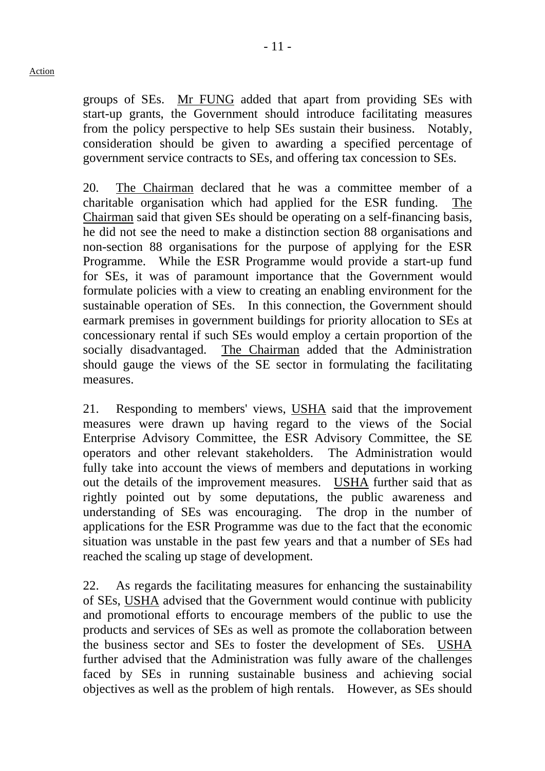groups of SEs. Mr FUNG added that apart from providing SEs with start-up grants, the Government should introduce facilitating measures from the policy perspective to help SEs sustain their business. Notably, consideration should be given to awarding a specified percentage of government service contracts to SEs, and offering tax concession to SEs.

20. The Chairman declared that he was a committee member of a charitable organisation which had applied for the ESR funding. The Chairman said that given SEs should be operating on a self-financing basis, he did not see the need to make a distinction section 88 organisations and non-section 88 organisations for the purpose of applying for the ESR Programme. While the ESR Programme would provide a start-up fund for SEs, it was of paramount importance that the Government would formulate policies with a view to creating an enabling environment for the sustainable operation of SEs. In this connection, the Government should earmark premises in government buildings for priority allocation to SEs at concessionary rental if such SEs would employ a certain proportion of the socially disadvantaged. The Chairman added that the Administration should gauge the views of the SE sector in formulating the facilitating measures.

21. Responding to members' views, USHA said that the improvement measures were drawn up having regard to the views of the Social Enterprise Advisory Committee, the ESR Advisory Committee, the SE operators and other relevant stakeholders. The Administration would fully take into account the views of members and deputations in working out the details of the improvement measures. USHA further said that as rightly pointed out by some deputations, the public awareness and understanding of SEs was encouraging. The drop in the number of applications for the ESR Programme was due to the fact that the economic situation was unstable in the past few years and that a number of SEs had reached the scaling up stage of development.

22. As regards the facilitating measures for enhancing the sustainability of SEs, USHA advised that the Government would continue with publicity and promotional efforts to encourage members of the public to use the products and services of SEs as well as promote the collaboration between the business sector and SEs to foster the development of SEs. USHA further advised that the Administration was fully aware of the challenges faced by SEs in running sustainable business and achieving social objectives as well as the problem of high rentals. However, as SEs should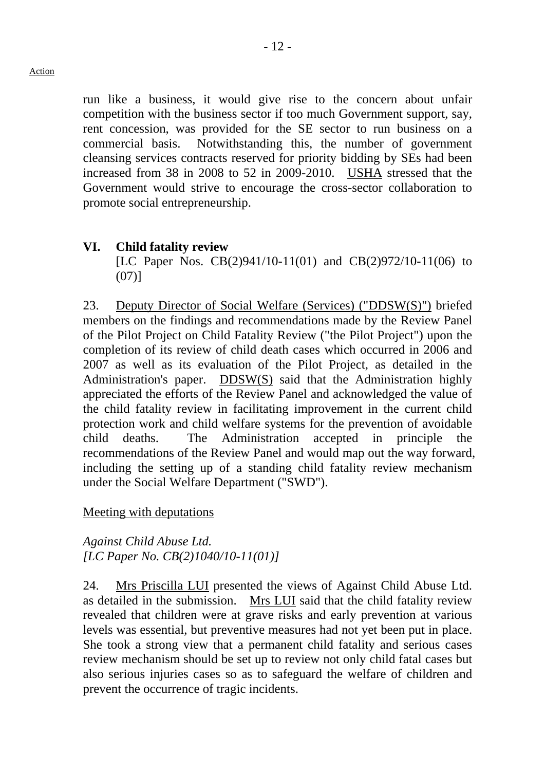run like a business, it would give rise to the concern about unfair competition with the business sector if too much Government support, say, rent concession, was provided for the SE sector to run business on a commercial basis. Notwithstanding this, the number of government cleansing services contracts reserved for priority bidding by SEs had been increased from 38 in 2008 to 52 in 2009-2010. USHA stressed that the Government would strive to encourage the cross-sector collaboration to promote social entrepreneurship.

# **VI. Child fatality review**

[LC Paper Nos. CB(2)941/10-11(01) and CB(2)972/10-11(06) to  $(07)$ ]

23. Deputy Director of Social Welfare (Services) ("DDSW(S)") briefed members on the findings and recommendations made by the Review Panel of the Pilot Project on Child Fatality Review ("the Pilot Project") upon the completion of its review of child death cases which occurred in 2006 and 2007 as well as its evaluation of the Pilot Project, as detailed in the Administration's paper. DDSW(S) said that the Administration highly appreciated the efforts of the Review Panel and acknowledged the value of the child fatality review in facilitating improvement in the current child protection work and child welfare systems for the prevention of avoidable child deaths. The Administration accepted in principle the recommendations of the Review Panel and would map out the way forward, including the setting up of a standing child fatality review mechanism under the Social Welfare Department ("SWD").

#### Meeting with deputations

#### *Against Child Abuse Ltd. [LC Paper No. CB(2)1040/10-11(01)]*

24. Mrs Priscilla LUI presented the views of Against Child Abuse Ltd. as detailed in the submission. Mrs LUI said that the child fatality review revealed that children were at grave risks and early prevention at various levels was essential, but preventive measures had not yet been put in place. She took a strong view that a permanent child fatality and serious cases review mechanism should be set up to review not only child fatal cases but also serious injuries cases so as to safeguard the welfare of children and prevent the occurrence of tragic incidents.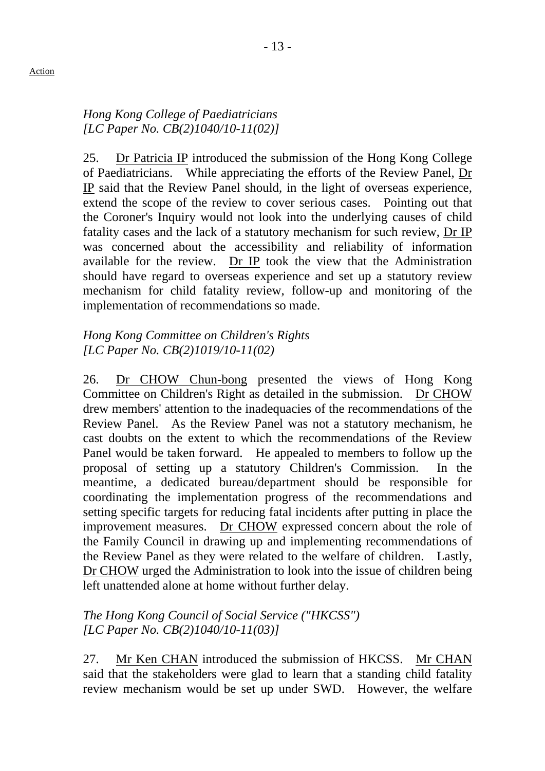# *Hong Kong College of Paediatricians [LC Paper No. CB(2)1040/10-11(02)]*

25. Dr Patricia IP introduced the submission of the Hong Kong College of Paediatricians. While appreciating the efforts of the Review Panel, Dr IP said that the Review Panel should, in the light of overseas experience, extend the scope of the review to cover serious cases. Pointing out that the Coroner's Inquiry would not look into the underlying causes of child fatality cases and the lack of a statutory mechanism for such review, Dr IP was concerned about the accessibility and reliability of information available for the review. Dr IP took the view that the Administration should have regard to overseas experience and set up a statutory review mechanism for child fatality review, follow-up and monitoring of the implementation of recommendations so made.

# *Hong Kong Committee on Children's Rights [LC Paper No. CB(2)1019/10-11(02)*

26. Dr CHOW Chun-bong presented the views of Hong Kong Committee on Children's Right as detailed in the submission. Dr CHOW drew members' attention to the inadequacies of the recommendations of the Review Panel. As the Review Panel was not a statutory mechanism, he cast doubts on the extent to which the recommendations of the Review Panel would be taken forward. He appealed to members to follow up the proposal of setting up a statutory Children's Commission. In the meantime, a dedicated bureau/department should be responsible for coordinating the implementation progress of the recommendations and setting specific targets for reducing fatal incidents after putting in place the improvement measures. Dr CHOW expressed concern about the role of the Family Council in drawing up and implementing recommendations of the Review Panel as they were related to the welfare of children. Lastly, Dr CHOW urged the Administration to look into the issue of children being left unattended alone at home without further delay.

# *The Hong Kong Council of Social Service ("HKCSS") [LC Paper No. CB(2)1040/10-11(03)]*

27. Mr Ken CHAN introduced the submission of HKCSS. Mr CHAN said that the stakeholders were glad to learn that a standing child fatality review mechanism would be set up under SWD. However, the welfare

Action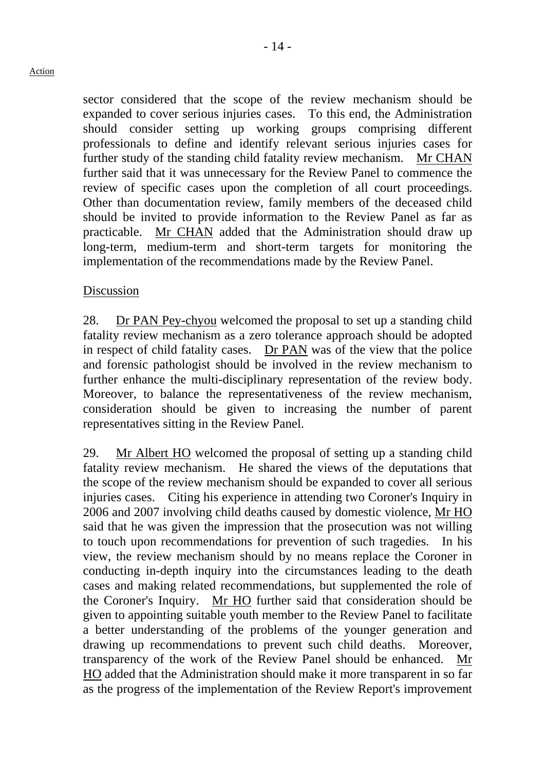sector considered that the scope of the review mechanism should be expanded to cover serious injuries cases. To this end, the Administration should consider setting up working groups comprising different professionals to define and identify relevant serious injuries cases for further study of the standing child fatality review mechanism. Mr CHAN further said that it was unnecessary for the Review Panel to commence the review of specific cases upon the completion of all court proceedings. Other than documentation review, family members of the deceased child should be invited to provide information to the Review Panel as far as practicable. Mr CHAN added that the Administration should draw up long-term, medium-term and short-term targets for monitoring the implementation of the recommendations made by the Review Panel.

#### Discussion

28. Dr PAN Pey-chyou welcomed the proposal to set up a standing child fatality review mechanism as a zero tolerance approach should be adopted in respect of child fatality cases. Dr PAN was of the view that the police and forensic pathologist should be involved in the review mechanism to further enhance the multi-disciplinary representation of the review body. Moreover, to balance the representativeness of the review mechanism, consideration should be given to increasing the number of parent representatives sitting in the Review Panel.

29. Mr Albert HO welcomed the proposal of setting up a standing child fatality review mechanism. He shared the views of the deputations that the scope of the review mechanism should be expanded to cover all serious injuries cases. Citing his experience in attending two Coroner's Inquiry in 2006 and 2007 involving child deaths caused by domestic violence, Mr HO said that he was given the impression that the prosecution was not willing to touch upon recommendations for prevention of such tragedies. In his view, the review mechanism should by no means replace the Coroner in conducting in-depth inquiry into the circumstances leading to the death cases and making related recommendations, but supplemented the role of the Coroner's Inquiry. Mr HO further said that consideration should be given to appointing suitable youth member to the Review Panel to facilitate a better understanding of the problems of the younger generation and drawing up recommendations to prevent such child deaths. Moreover, transparency of the work of the Review Panel should be enhanced. Mr HO added that the Administration should make it more transparent in so far as the progress of the implementation of the Review Report's improvement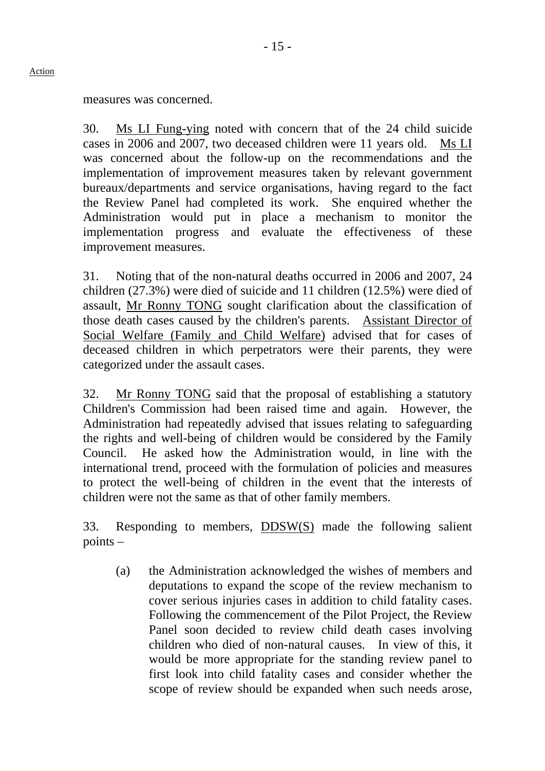measures was concerned.

30. Ms LI Fung-ying noted with concern that of the 24 child suicide cases in 2006 and 2007, two deceased children were 11 years old. Ms LI was concerned about the follow-up on the recommendations and the implementation of improvement measures taken by relevant government bureaux/departments and service organisations, having regard to the fact the Review Panel had completed its work. She enquired whether the Administration would put in place a mechanism to monitor the implementation progress and evaluate the effectiveness of these improvement measures.

31. Noting that of the non-natural deaths occurred in 2006 and 2007, 24 children (27.3%) were died of suicide and 11 children (12.5%) were died of assault, Mr Ronny TONG sought clarification about the classification of those death cases caused by the children's parents. Assistant Director of Social Welfare (Family and Child Welfare) advised that for cases of deceased children in which perpetrators were their parents, they were categorized under the assault cases.

32. Mr Ronny TONG said that the proposal of establishing a statutory Children's Commission had been raised time and again. However, the Administration had repeatedly advised that issues relating to safeguarding the rights and well-being of children would be considered by the Family Council. He asked how the Administration would, in line with the international trend, proceed with the formulation of policies and measures to protect the well-being of children in the event that the interests of children were not the same as that of other family members.

33. Responding to members, DDSW(S) made the following salient points –

(a) the Administration acknowledged the wishes of members and deputations to expand the scope of the review mechanism to cover serious injuries cases in addition to child fatality cases. Following the commencement of the Pilot Project, the Review Panel soon decided to review child death cases involving children who died of non-natural causes. In view of this, it would be more appropriate for the standing review panel to first look into child fatality cases and consider whether the scope of review should be expanded when such needs arose,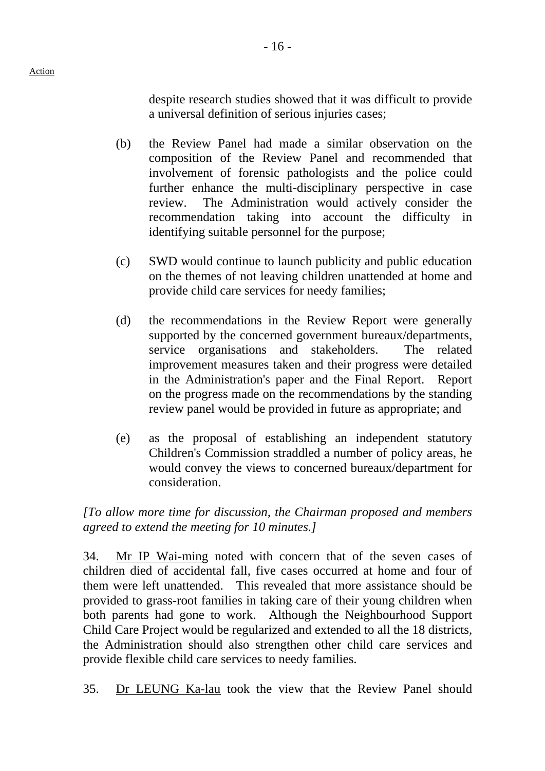despite research studies showed that it was difficult to provide a universal definition of serious injuries cases;

- (b) the Review Panel had made a similar observation on the composition of the Review Panel and recommended that involvement of forensic pathologists and the police could further enhance the multi-disciplinary perspective in case review. The Administration would actively consider the recommendation taking into account the difficulty in identifying suitable personnel for the purpose;
- (c) SWD would continue to launch publicity and public education on the themes of not leaving children unattended at home and provide child care services for needy families;
- (d) the recommendations in the Review Report were generally supported by the concerned government bureaux/departments, service organisations and stakeholders. The related improvement measures taken and their progress were detailed in the Administration's paper and the Final Report. Report on the progress made on the recommendations by the standing review panel would be provided in future as appropriate; and
- (e) as the proposal of establishing an independent statutory Children's Commission straddled a number of policy areas, he would convey the views to concerned bureaux/department for consideration.

*[To allow more time for discussion, the Chairman proposed and members agreed to extend the meeting for 10 minutes.]* 

34. Mr IP Wai-ming noted with concern that of the seven cases of children died of accidental fall, five cases occurred at home and four of them were left unattended. This revealed that more assistance should be provided to grass-root families in taking care of their young children when both parents had gone to work. Although the Neighbourhood Support Child Care Project would be regularized and extended to all the 18 districts, the Administration should also strengthen other child care services and provide flexible child care services to needy families.

35. Dr LEUNG Ka-lau took the view that the Review Panel should